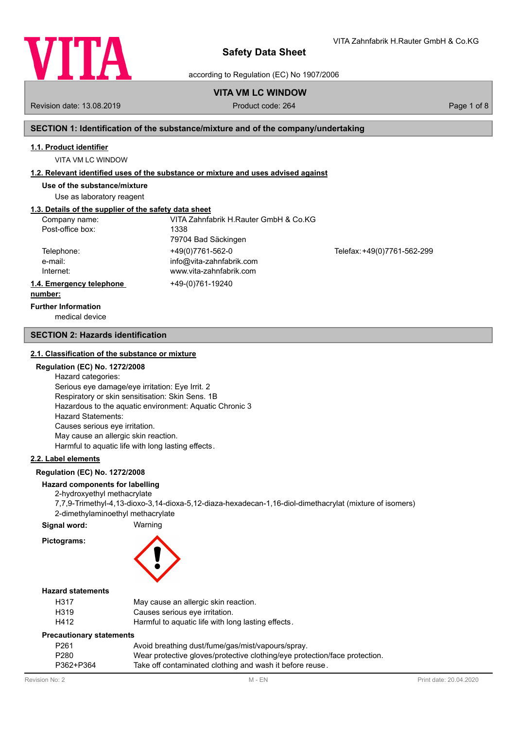

according to Regulation (EC) No 1907/2006

# **VITA VM LC WINDOW**

Revision date: 13.08.2019 **Product code: 264** Product code: 264 Page 1 of 8

VITA Zahnfabrik H.Rauter GmbH & Co.KG

### **SECTION 1: Identification of the substance/mixture and of the company/undertaking**

#### **1.1. Product identifier**

VITA VM LC WINDOW

#### **1.2. Relevant identified uses of the substance or mixture and uses advised against**

**Use of the substance/mixture**

Use as laboratory reagent

# **1.3. Details of the supplier of the safety data sheet**

| Company name:            | VITA Zahnfabrik H.Rauter GmbH & Co.KG |                             |
|--------------------------|---------------------------------------|-----------------------------|
| Post-office box:         | 1338                                  |                             |
|                          | 79704 Bad Säckingen                   |                             |
| Telephone:               | +49(0)7761-562-0                      | Telefax: +49(0)7761-562-299 |
| e-mail:                  | info@vita-zahnfabrik.com              |                             |
| Internet:                | www.vita-zahnfabrik.com               |                             |
| 1.4. Emergency telephone | +49-(0)761-19240                      |                             |
| numhar:                  |                                       |                             |

# **number:**

medical device **Further Information**

#### **SECTION 2: Hazards identification**

#### **2.1. Classification of the substance or mixture**

#### **Regulation (EC) No. 1272/2008**

Hazard categories: Serious eye damage/eye irritation: Eye Irrit. 2 Respiratory or skin sensitisation: Skin Sens. 1B Hazardous to the aquatic environment: Aquatic Chronic 3 Hazard Statements: Causes serious eye irritation. May cause an allergic skin reaction. Harmful to aquatic life with long lasting effects.

# **2.2. Label elements**

#### **Regulation (EC) No. 1272/2008**

### **Hazard components for labelling**

2-hydroxyethyl methacrylate 7,7,9-Trimethyl-4,13-dioxo-3,14-dioxa-5,12-diaza-hexadecan-1,16-diol-dimethacrylat (mixture of isomers) 2-dimethylaminoethyl methacrylate

**Signal word:** Warning

# **Pictograms:**



#### **Hazard statements**

| H317 | May cause an allergic skin reaction.               |  |
|------|----------------------------------------------------|--|
| H319 | Causes serious eye irritation.                     |  |
| H412 | Harmful to aquatic life with long lasting effects. |  |
|      |                                                    |  |

#### **Precautionary statements**

| P <sub>261</sub> | Avoid breathing dust/fume/gas/mist/vapours/spray.                          |
|------------------|----------------------------------------------------------------------------|
| P280             | Wear protective gloves/protective clothing/eye protection/face protection. |
| P362+P364        | Take off contaminated clothing and wash it before reuse.                   |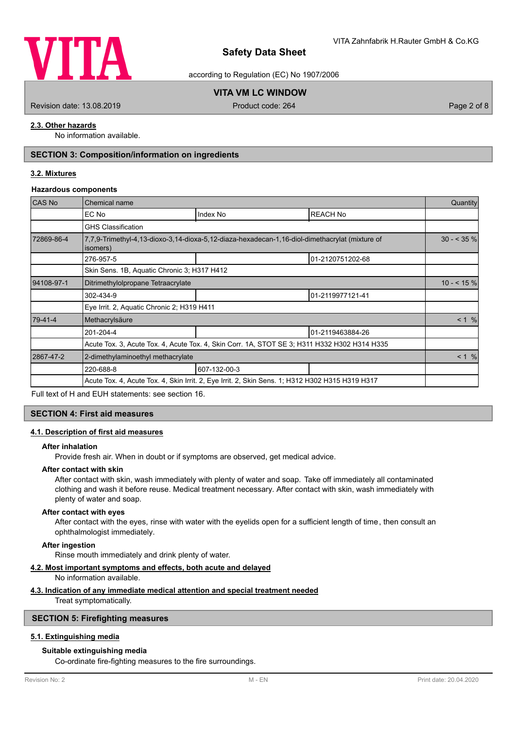

according to Regulation (EC) No 1907/2006

# **VITA VM LC WINDOW**

Revision date: 13.08.2019 **Product code: 264** Product code: 264 Page 2 of 8

#### **2.3. Other hazards**

No information available.

# **SECTION 3: Composition/information on ingredients**

#### **3.2. Mixtures**

#### **Hazardous components**

| <b>CAS No</b> | Chemical name                                                                                   |                                                                                                |                  | Quantity      |
|---------------|-------------------------------------------------------------------------------------------------|------------------------------------------------------------------------------------------------|------------------|---------------|
|               | EC No                                                                                           | Index No                                                                                       | <b>REACH No</b>  |               |
|               | <b>GHS Classification</b>                                                                       |                                                                                                |                  |               |
| 72869-86-4    | isomers)                                                                                        | 7,7,9-Trimethyl-4,13-dioxo-3,14-dioxa-5,12-diaza-hexadecan-1,16-diol-dimethacrylat (mixture of |                  | $30 - 535 \%$ |
|               | 276-957-5                                                                                       |                                                                                                | 01-2120751202-68 |               |
|               | Skin Sens. 1B, Aquatic Chronic 3; H317 H412                                                     |                                                                                                |                  |               |
| 94108-97-1    | Ditrimethylolpropane Tetraacrylate                                                              |                                                                                                |                  | $10 - 5\%$    |
|               | 302-434-9                                                                                       |                                                                                                | 01-2119977121-41 |               |
|               | Eye Irrit. 2, Aquatic Chronic 2; H319 H411                                                      |                                                                                                |                  |               |
| 79-41-4       | Methacrylsäure                                                                                  |                                                                                                |                  | < 1 %         |
|               | 201-204-4                                                                                       |                                                                                                | 01-2119463884-26 |               |
|               |                                                                                                 | Acute Tox. 3, Acute Tox. 4, Acute Tox. 4, Skin Corr. 1A, STOT SE 3; H311 H332 H302 H314 H335   |                  |               |
| 2867-47-2     | 2-dimethylaminoethyl methacrylate                                                               |                                                                                                |                  | < 1 %         |
|               | 220-688-8                                                                                       | 607-132-00-3                                                                                   |                  |               |
|               | Acute Tox. 4, Acute Tox. 4, Skin Irrit. 2, Eye Irrit. 2, Skin Sens. 1; H312 H302 H315 H319 H317 |                                                                                                |                  |               |

Full text of H and EUH statements: see section 16.

#### **SECTION 4: First aid measures**

#### **4.1. Description of first aid measures**

#### **After inhalation**

Provide fresh air. When in doubt or if symptoms are observed, get medical advice.

#### **After contact with skin**

After contact with skin, wash immediately with plenty of water and soap. Take off immediately all contaminated clothing and wash it before reuse. Medical treatment necessary. After contact with skin, wash immediately with plenty of water and soap.

#### **After contact with eyes**

After contact with the eyes, rinse with water with the eyelids open for a sufficient length of time, then consult an ophthalmologist immediately.

#### **After ingestion**

Rinse mouth immediately and drink plenty of water.

#### **4.2. Most important symptoms and effects, both acute and delayed**

No information available.

#### **4.3. Indication of any immediate medical attention and special treatment needed**

Treat symptomatically.

#### **SECTION 5: Firefighting measures**

#### **5.1. Extinguishing media**

#### **Suitable extinguishing media**

Co-ordinate fire-fighting measures to the fire surroundings.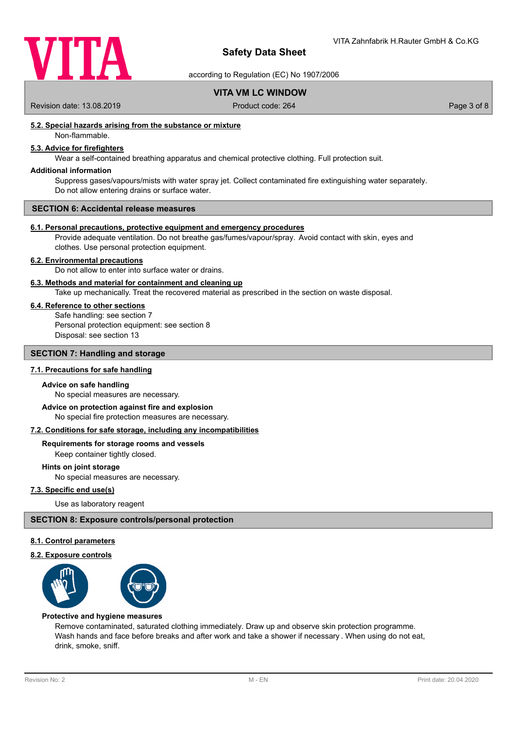

according to Regulation (EC) No 1907/2006

# **VITA VM LC WINDOW**

Revision date: 13.08.2019 Product code: 264 Page 3 of 8

#### **5.2. Special hazards arising from the substance or mixture**

Non-flammable.

# **5.3. Advice for firefighters**

Wear a self-contained breathing apparatus and chemical protective clothing. Full protection suit.

#### **Additional information**

Suppress gases/vapours/mists with water spray jet. Collect contaminated fire extinguishing water separately. Do not allow entering drains or surface water.

#### **SECTION 6: Accidental release measures**

#### **6.1. Personal precautions, protective equipment and emergency procedures**

Provide adequate ventilation. Do not breathe gas/fumes/vapour/spray. Avoid contact with skin, eyes and clothes. Use personal protection equipment.

#### **6.2. Environmental precautions**

Do not allow to enter into surface water or drains.

#### **6.3. Methods and material for containment and cleaning up**

Take up mechanically. Treat the recovered material as prescribed in the section on waste disposal.

#### **6.4. Reference to other sections**

Safe handling: see section 7 Personal protection equipment: see section 8 Disposal: see section 13

#### **SECTION 7: Handling and storage**

#### **7.1. Precautions for safe handling**

#### **Advice on safe handling**

No special measures are necessary.

No special fire protection measures are necessary. **Advice on protection against fire and explosion**

#### **7.2. Conditions for safe storage, including any incompatibilities**

**Requirements for storage rooms and vessels**

Keep container tightly closed.

#### **Hints on joint storage**

No special measures are necessary.

#### **7.3. Specific end use(s)**

Use as laboratory reagent

#### **SECTION 8: Exposure controls/personal protection**

#### **8.1. Control parameters**

#### **8.2. Exposure controls**



#### **Protective and hygiene measures**

Remove contaminated, saturated clothing immediately. Draw up and observe skin protection programme. Wash hands and face before breaks and after work and take a shower if necessary . When using do not eat, drink, smoke, sniff.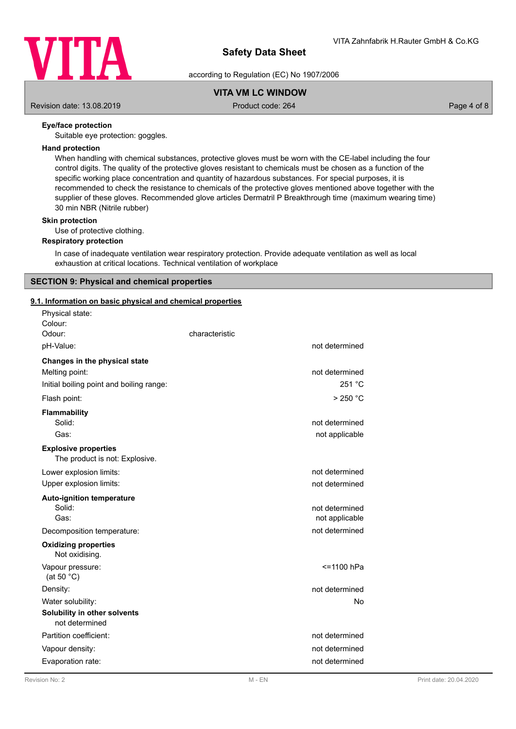

according to Regulation (EC) No 1907/2006

# **VITA VM LC WINDOW**

Revision date: 13.08.2019 **Product code: 264** Product code: 264 Page 4 of 8

#### **Eye/face protection**

Suitable eye protection: goggles.

#### **Hand protection**

When handling with chemical substances, protective gloves must be worn with the CE-label including the four control digits. The quality of the protective gloves resistant to chemicals must be chosen as a function of the specific working place concentration and quantity of hazardous substances. For special purposes, it is recommended to check the resistance to chemicals of the protective gloves mentioned above together with the supplier of these gloves. Recommended glove articles Dermatril P Breakthrough time (maximum wearing time) 30 min NBR (Nitrile rubber)

#### **Skin protection**

Use of protective clothing.

#### **Respiratory protection**

In case of inadequate ventilation wear respiratory protection. Provide adequate ventilation as well as local exhaustion at critical locations. Technical ventilation of workplace

#### **SECTION 9: Physical and chemical properties**

#### **9.1. Information on basic physical and chemical properties**

| Physical state:                                               |                |
|---------------------------------------------------------------|----------------|
| Colour:<br>Odour:                                             | characteristic |
| pH-Value:                                                     | not determined |
| Changes in the physical state                                 |                |
| Melting point:                                                | not determined |
| Initial boiling point and boiling range:                      | 251 °C         |
| Flash point:                                                  | $>250$ °C      |
| <b>Flammability</b>                                           |                |
| Solid:                                                        | not determined |
| Gas:                                                          | not applicable |
| <b>Explosive properties</b><br>The product is not: Explosive. |                |
| Lower explosion limits:                                       | not determined |
| Upper explosion limits:                                       | not determined |
| <b>Auto-ignition temperature</b>                              |                |
| Solid:                                                        | not determined |
| Gas:                                                          | not applicable |
| Decomposition temperature:                                    | not determined |
| <b>Oxidizing properties</b><br>Not oxidising.                 |                |
| Vapour pressure:<br>(at 50 $°C$ )                             | <=1100 hPa     |
| Density:                                                      | not determined |
| Water solubility:                                             | No             |
| Solubility in other solvents                                  |                |
| not determined                                                |                |
| Partition coefficient:                                        | not determined |
| Vapour density:                                               | not determined |
| Evaporation rate:                                             | not determined |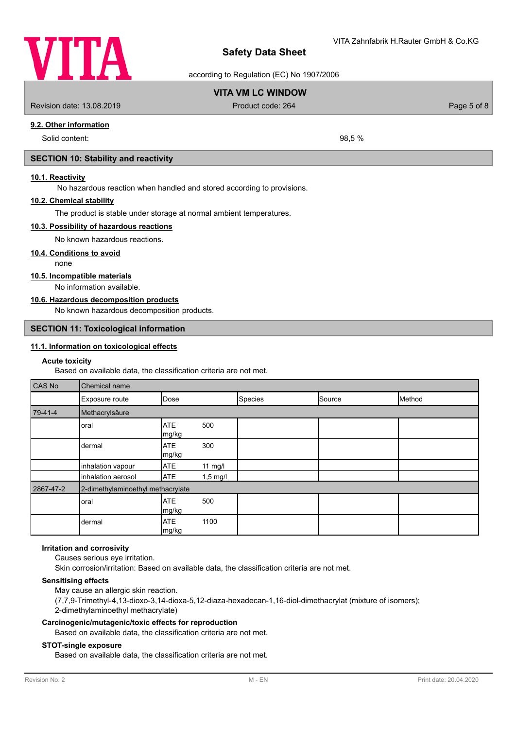

according to Regulation (EC) No 1907/2006

# **VITA VM LC WINDOW**

Revision date: 13.08.2019 Product code: 264 Page 5 of 8

**9.2. Other information**

Solid content: 98.5 %

#### **SECTION 10: Stability and reactivity**

#### **10.1. Reactivity**

No hazardous reaction when handled and stored according to provisions.

#### **10.2. Chemical stability**

The product is stable under storage at normal ambient temperatures.

#### **10.3. Possibility of hazardous reactions**

No known hazardous reactions.

#### **10.4. Conditions to avoid**

none

#### **10.5. Incompatible materials**

No information available.

#### **10.6. Hazardous decomposition products**

No known hazardous decomposition products.

#### **SECTION 11: Toxicological information**

#### **11.1. Information on toxicological effects**

#### **Acute toxicity**

Based on available data, the classification criteria are not met.

| CAS No    | Chemical name                     |                     |                    |         |        |        |
|-----------|-----------------------------------|---------------------|--------------------|---------|--------|--------|
|           | Exposure route                    | Dose                |                    | Species | Source | Method |
| 79-41-4   | Methacrylsäure                    |                     |                    |         |        |        |
|           | oral                              | <b>ATE</b><br>mg/kg | 500                |         |        |        |
|           | dermal                            | <b>ATE</b><br>mg/kg | 300                |         |        |        |
|           | inhalation vapour                 | <b>ATE</b>          | 11 mg/l            |         |        |        |
|           | inhalation aerosol                | <b>ATE</b>          | $1,5 \text{ mg/l}$ |         |        |        |
| 2867-47-2 | 2-dimethylaminoethyl methacrylate |                     |                    |         |        |        |
|           | oral                              | <b>ATE</b><br>mg/kg | 500                |         |        |        |
|           | dermal                            | <b>ATE</b><br>mg/kg | 1100               |         |        |        |

#### **Irritation and corrosivity**

Causes serious eye irritation. Skin corrosion/irritation: Based on available data, the classification criteria are not met.

#### **Sensitising effects**

May cause an allergic skin reaction. (7,7,9-Trimethyl-4,13-dioxo-3,14-dioxa-5,12-diaza-hexadecan-1,16-diol-dimethacrylat (mixture of isomers); 2-dimethylaminoethyl methacrylate)

#### **Carcinogenic/mutagenic/toxic effects for reproduction**

Based on available data, the classification criteria are not met.

#### **STOT-single exposure**

Based on available data, the classification criteria are not met.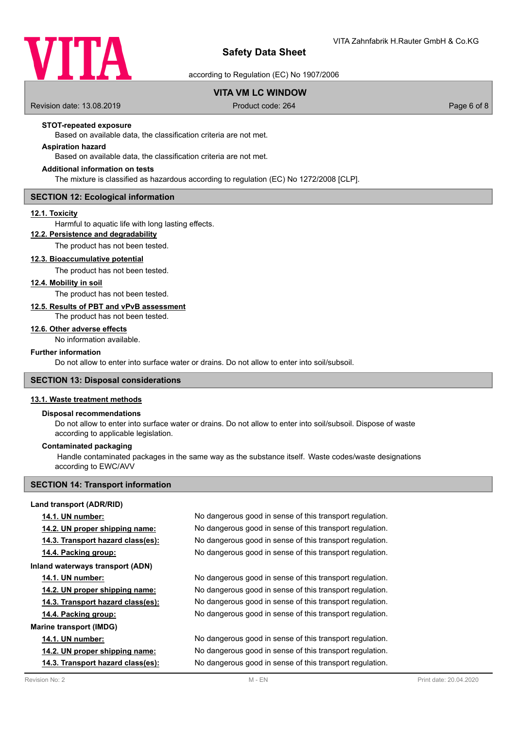

according to Regulation (EC) No 1907/2006

# **VITA VM LC WINDOW**

Revision date: 13.08.2019 Product code: 264 Page 6 of 8

#### **STOT-repeated exposure**

Based on available data, the classification criteria are not met.

### **Aspiration hazard**

Based on available data, the classification criteria are not met.

#### **Additional information on tests**

The mixture is classified as hazardous according to regulation (EC) No 1272/2008 [CLP].

#### **SECTION 12: Ecological information**

#### **12.1. Toxicity**

Harmful to aquatic life with long lasting effects.

# **12.2. Persistence and degradability**

The product has not been tested.

#### **12.3. Bioaccumulative potential**

The product has not been tested.

#### **12.4. Mobility in soil**

The product has not been tested.

# **12.5. Results of PBT and vPvB assessment**

The product has not been tested.

### **12.6. Other adverse effects**

No information available.

#### **Further information**

Do not allow to enter into surface water or drains. Do not allow to enter into soil/subsoil.

#### **SECTION 13: Disposal considerations**

### **13.1. Waste treatment methods**

#### **Disposal recommendations**

Do not allow to enter into surface water or drains. Do not allow to enter into soil/subsoil. Dispose of waste according to applicable legislation.

#### **Contaminated packaging**

 Handle contaminated packages in the same way as the substance itself. Waste codes/waste designations according to EWC/AVV

### **SECTION 14: Transport information**

#### **Land transport (ADR/RID)**

| Revision No: 2                    | $M$ - $FN$                                               | Print date: 20.04.2020 |
|-----------------------------------|----------------------------------------------------------|------------------------|
| 14.3. Transport hazard class(es): | No dangerous good in sense of this transport regulation. |                        |
| 14.2. UN proper shipping name:    | No dangerous good in sense of this transport regulation. |                        |
| <b>14.1. UN number:</b>           | No dangerous good in sense of this transport regulation. |                        |
| <b>Marine transport (IMDG)</b>    |                                                          |                        |
| 14.4. Packing group:              | No dangerous good in sense of this transport regulation. |                        |
| 14.3. Transport hazard class(es): | No dangerous good in sense of this transport regulation. |                        |
| 14.2. UN proper shipping name:    | No dangerous good in sense of this transport regulation. |                        |
| <b>14.1. UN number:</b>           | No dangerous good in sense of this transport regulation. |                        |
| Inland waterways transport (ADN)  |                                                          |                        |
| 14.4. Packing group:              | No dangerous good in sense of this transport regulation. |                        |
| 14.3. Transport hazard class(es): | No dangerous good in sense of this transport regulation. |                        |
| 14.2. UN proper shipping name:    | No dangerous good in sense of this transport regulation. |                        |
| <b>14.1. UN number:</b>           | No dangerous good in sense of this transport regulation. |                        |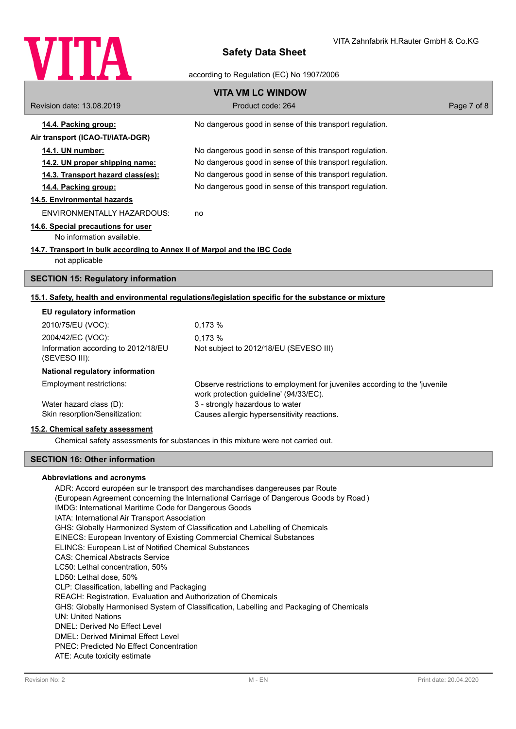

#### according to Regulation (EC) No 1907/2006

|                                                                          | <b>VITA VM LC WINDOW</b>                                                                                              |             |
|--------------------------------------------------------------------------|-----------------------------------------------------------------------------------------------------------------------|-------------|
| Revision date: 13.08.2019                                                | Product code: 264                                                                                                     | Page 7 of 8 |
| 14.4. Packing group:                                                     | No dangerous good in sense of this transport regulation.                                                              |             |
| Air transport (ICAO-TI/IATA-DGR)                                         |                                                                                                                       |             |
| 14.1. UN number:                                                         | No dangerous good in sense of this transport regulation.                                                              |             |
| 14.2. UN proper shipping name:                                           | No dangerous good in sense of this transport regulation.                                                              |             |
| 14.3. Transport hazard class(es):                                        | No dangerous good in sense of this transport regulation.                                                              |             |
| 14.4. Packing group:                                                     | No dangerous good in sense of this transport regulation.                                                              |             |
| 14.5. Environmental hazards                                              |                                                                                                                       |             |
| <b>ENVIRONMENTALLY HAZARDOUS:</b>                                        | no                                                                                                                    |             |
| 14.6. Special precautions for user                                       |                                                                                                                       |             |
| No information available.                                                |                                                                                                                       |             |
| 14.7. Transport in bulk according to Annex II of Marpol and the IBC Code |                                                                                                                       |             |
| not applicable                                                           |                                                                                                                       |             |
| <b>SECTION 15: Regulatory information</b>                                |                                                                                                                       |             |
|                                                                          | 15.1. Safety, health and environmental regulations/legislation specific for the substance or mixture                  |             |
| EU regulatory information                                                |                                                                                                                       |             |
| 2010/75/EU (VOC):                                                        | 0.173 %                                                                                                               |             |
| 2004/42/EC (VOC):                                                        | 0,173 %                                                                                                               |             |
| Information according to 2012/18/EU<br>(SEVESO III):                     | Not subject to 2012/18/EU (SEVESO III)                                                                                |             |
| National regulatory information                                          |                                                                                                                       |             |
| Employment restrictions:                                                 | Observe restrictions to employment for juveniles according to the 'juvenile<br>work protection guideline' (94/33/EC). |             |
| Water hazard class (D):                                                  | 3 - strongly hazardous to water                                                                                       |             |
| Skin resorption/Sensitization:                                           | Causes allergic hypersensitivity reactions.                                                                           |             |

#### **15.2. Chemical safety assessment**

Chemical safety assessments for substances in this mixture were not carried out.

#### **SECTION 16: Other information**

#### **Abbreviations and acronyms**

ADR: Accord européen sur le transport des marchandises dangereuses par Route (European Agreement concerning the International Carriage of Dangerous Goods by Road ) IMDG: International Maritime Code for Dangerous Goods IATA: International Air Transport Association GHS: Globally Harmonized System of Classification and Labelling of Chemicals EINECS: European Inventory of Existing Commercial Chemical Substances ELINCS: European List of Notified Chemical Substances CAS: Chemical Abstracts Service LC50: Lethal concentration, 50% LD50: Lethal dose, 50% CLP: Classification, labelling and Packaging REACH: Registration, Evaluation and Authorization of Chemicals GHS: Globally Harmonised System of Classification, Labelling and Packaging of Chemicals UN: United Nations DNEL: Derived No Effect Level DMEL: Derived Minimal Effect Level PNEC: Predicted No Effect Concentration ATE: Acute toxicity estimate